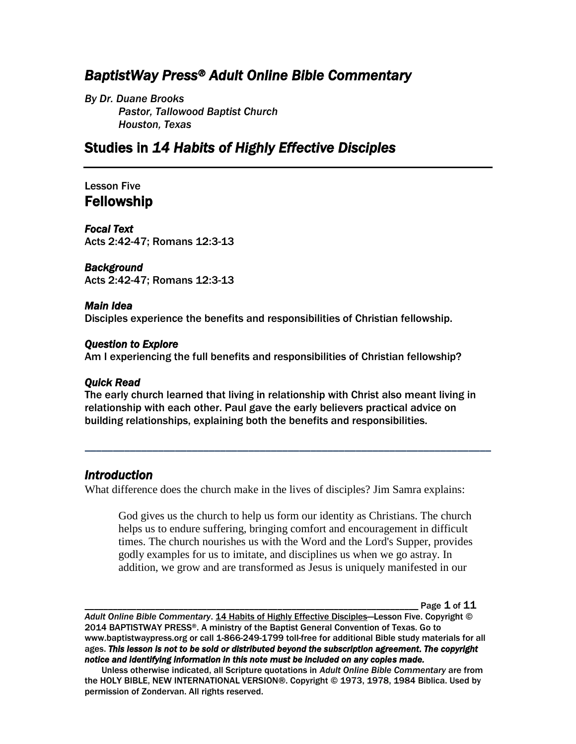# *BaptistWay Press® Adult Online Bible Commentary*

*By Dr. Duane Brooks Pastor, Tallowood Baptist Church Houston, Texas*

# Studies in *14 Habits of Highly Effective Disciples*

### Lesson Five Fellowship

*Focal Text*  Acts 2:42-47; Romans 12:3-13

*Background* 

Acts 2:42-47; Romans 12:3-13

#### *Main Idea*

Disciples experience the benefits and responsibilities of Christian fellowship.

#### *Question to Explore*

Am I experiencing the full benefits and responsibilities of Christian fellowship?

#### *Quick Read*

The early church learned that living in relationship with Christ also meant living in relationship with each other. Paul gave the early believers practical advice on building relationships, explaining both the benefits and responsibilities.

*\_\_\_\_\_\_\_\_\_\_\_\_\_\_\_\_\_\_\_\_\_\_\_\_\_\_\_\_\_\_\_\_\_\_\_\_\_\_\_\_\_\_\_\_\_\_\_\_\_\_\_\_\_\_\_\_\_\_\_\_\_\_\_\_\_\_\_\_\_\_\_\_*

## *Introduction*

What difference does the church make in the lives of disciples? Jim Samra explains:

God gives us the church to help us form our identity as Christians. The church helps us to endure suffering, bringing comfort and encouragement in difficult times. The church nourishes us with the Word and the Lord's Supper, provides godly examples for us to imitate, and disciplines us when we go astray. In addition, we grow and are transformed as Jesus is uniquely manifested in our

Page  $1$  of  $11$ 

*Adult Online Bible Commentary*. 14 Habits of Highly Effective Disciples—Lesson Five. Copyright © 2014 BAPTISTWAY PRESS®. A ministry of the Baptist General Convention of Texas. Go to www.baptistwaypress.org or call 1-866-249-1799 toll-free for additional Bible study materials for all ages. *This lesson is not to be sold or distributed beyond the subscription agreement. The copyright notice and identifying information in this note must be included on any copies made.* 

Unless otherwise indicated, all Scripture quotations in *Adult Online Bible Commentary* are from the HOLY BIBLE, NEW INTERNATIONAL VERSION®. Copyright © 1973, 1978, 1984 Biblica. Used by permission of Zondervan. All rights reserved.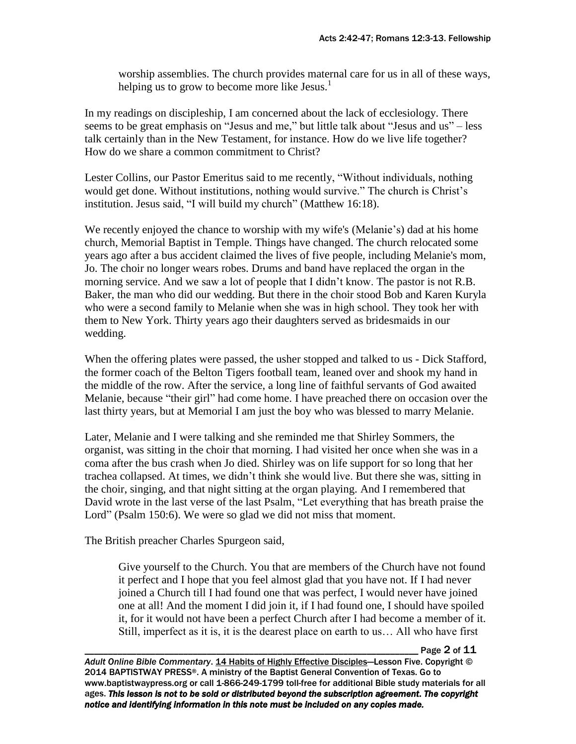worship assemblies. The church provides maternal care for us in all of these ways, helping us to grow to become more like Jesus.<sup>1</sup>

In my readings on discipleship, I am concerned about the lack of ecclesiology. There seems to be great emphasis on "Jesus and me," but little talk about "Jesus and us" – less talk certainly than in the New Testament, for instance. How do we live life together? How do we share a common commitment to Christ?

Lester Collins, our Pastor Emeritus said to me recently, "Without individuals, nothing would get done. Without institutions, nothing would survive." The church is Christ's institution. Jesus said, "I will build my church" (Matthew 16:18).

We recently enjoyed the chance to worship with my wife's (Melanie's) dad at his home church, Memorial Baptist in Temple. Things have changed. The church relocated some years ago after a bus accident claimed the lives of five people, including Melanie's mom, Jo. The choir no longer wears robes. Drums and band have replaced the organ in the morning service. And we saw a lot of people that I didn't know. The pastor is not R.B. Baker, the man who did our wedding. But there in the choir stood Bob and Karen Kuryla who were a second family to Melanie when she was in high school. They took her with them to New York. Thirty years ago their daughters served as bridesmaids in our wedding.

When the offering plates were passed, the usher stopped and talked to us - Dick Stafford, the former coach of the Belton Tigers football team, leaned over and shook my hand in the middle of the row. After the service, a long line of faithful servants of God awaited Melanie, because "their girl" had come home. I have preached there on occasion over the last thirty years, but at Memorial I am just the boy who was blessed to marry Melanie.

Later, Melanie and I were talking and she reminded me that Shirley Sommers, the organist, was sitting in the choir that morning. I had visited her once when she was in a coma after the bus crash when Jo died. Shirley was on life support for so long that her trachea collapsed. At times, we didn't think she would live. But there she was, sitting in the choir, singing, and that night sitting at the organ playing. And I remembered that David wrote in the last verse of the last Psalm, "Let everything that has breath praise the Lord" (Psalm 150:6). We were so glad we did not miss that moment.

The British preacher Charles Spurgeon said,

Give yourself to the Church. You that are members of the Church have not found it perfect and I hope that you feel almost glad that you have not. If I had never joined a Church till I had found one that was perfect, I would never have joined one at all! And the moment I did join it, if I had found one, I should have spoiled it, for it would not have been a perfect Church after I had become a member of it. Still, imperfect as it is, it is the dearest place on earth to us… All who have first

Page 2 of 11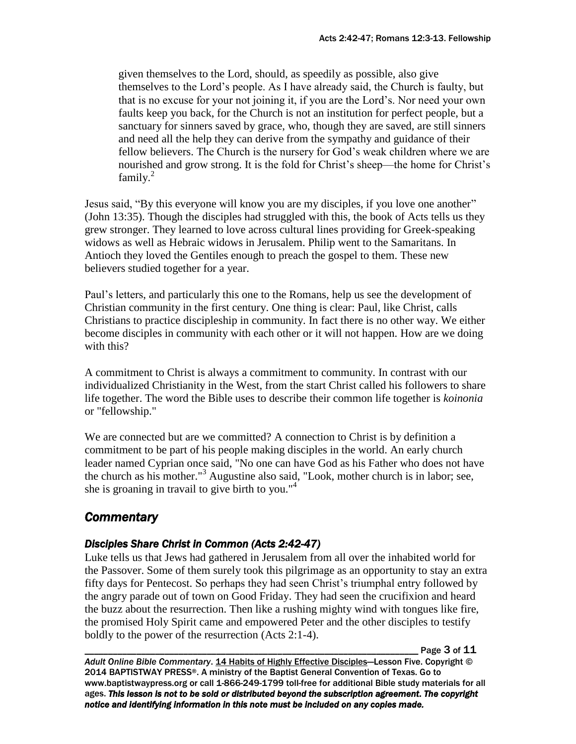given themselves to the Lord, should, as speedily as possible, also give themselves to the Lord's people. As I have already said, the Church is faulty, but that is no excuse for your not joining it, if you are the Lord's. Nor need your own faults keep you back, for the Church is not an institution for perfect people, but a sanctuary for sinners saved by grace, who, though they are saved, are still sinners and need all the help they can derive from the sympathy and guidance of their fellow believers. The Church is the nursery for God's weak children where we are nourished and grow strong. It is the fold for Christ's sheep—the home for Christ's family. $^{2}$ 

Jesus said, "By this everyone will know you are my disciples, if you love one another" (John 13:35). Though the disciples had struggled with this, the book of Acts tells us they grew stronger. They learned to love across cultural lines providing for Greek-speaking widows as well as Hebraic widows in Jerusalem. Philip went to the Samaritans. In Antioch they loved the Gentiles enough to preach the gospel to them. These new believers studied together for a year.

Paul's letters, and particularly this one to the Romans, help us see the development of Christian community in the first century. One thing is clear: Paul, like Christ, calls Christians to practice discipleship in community. In fact there is no other way. We either become disciples in community with each other or it will not happen. How are we doing with this?

A commitment to Christ is always a commitment to community. In contrast with our individualized Christianity in the West, from the start Christ called his followers to share life together. The word the Bible uses to describe their common life together is *koinonia* or "fellowship."

We are connected but are we committed? A connection to Christ is by definition a commitment to be part of his people making disciples in the world. An early church leader named Cyprian once said, "No one can have God as his Father who does not have the church as his mother."<sup>3</sup> Augustine also said, "Look, mother church is in labor; see, she is groaning in travail to give birth to you."<sup>4</sup>

## *Commentary*

#### *Disciples Share Christ in Common (Acts 2:42-47)*

Luke tells us that Jews had gathered in Jerusalem from all over the inhabited world for the Passover. Some of them surely took this pilgrimage as an opportunity to stay an extra fifty days for Pentecost. So perhaps they had seen Christ's triumphal entry followed by the angry parade out of town on Good Friday. They had seen the crucifixion and heard the buzz about the resurrection. Then like a rushing mighty wind with tongues like fire, the promised Holy Spirit came and empowered Peter and the other disciples to testify boldly to the power of the resurrection (Acts 2:1-4).

Page 3 of 11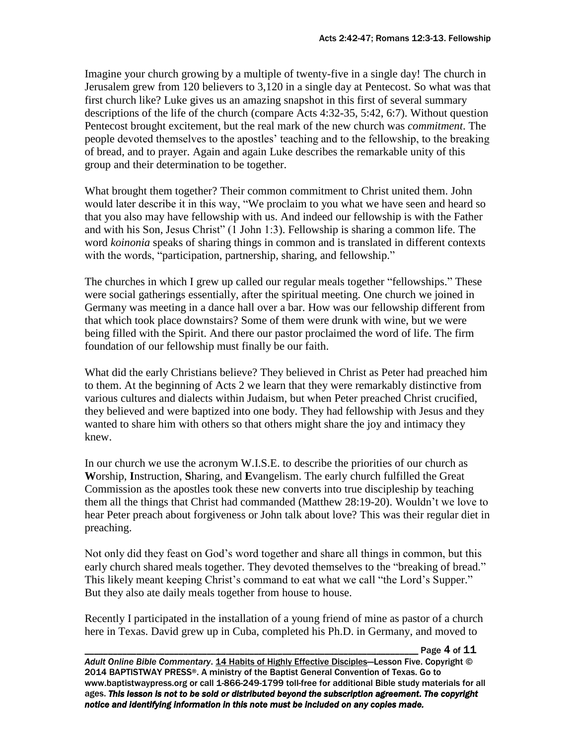Imagine your church growing by a multiple of twenty-five in a single day! The church in Jerusalem grew from 120 believers to 3,120 in a single day at Pentecost. So what was that first church like? Luke gives us an amazing snapshot in this first of several summary descriptions of the life of the church (compare Acts 4:32-35, 5:42, 6:7). Without question Pentecost brought excitement, but the real mark of the new church was *commitment*. The people devoted themselves to the apostles' teaching and to the fellowship, to the breaking of bread, and to prayer. Again and again Luke describes the remarkable unity of this group and their determination to be together.

What brought them together? Their common commitment to Christ united them. John would later describe it in this way, "We proclaim to you what we have seen and heard so that you also may have fellowship with us. And indeed our fellowship is with the Father and with his Son, Jesus Christ" (1 John 1:3). Fellowship is sharing a common life. The word *koinonia* speaks of sharing things in common and is translated in different contexts with the words, "participation, partnership, sharing, and fellowship."

The churches in which I grew up called our regular meals together "fellowships." These were social gatherings essentially, after the spiritual meeting. One church we joined in Germany was meeting in a dance hall over a bar. How was our fellowship different from that which took place downstairs? Some of them were drunk with wine, but we were being filled with the Spirit. And there our pastor proclaimed the word of life. The firm foundation of our fellowship must finally be our faith.

What did the early Christians believe? They believed in Christ as Peter had preached him to them. At the beginning of Acts 2 we learn that they were remarkably distinctive from various cultures and dialects within Judaism, but when Peter preached Christ crucified, they believed and were baptized into one body. They had fellowship with Jesus and they wanted to share him with others so that others might share the joy and intimacy they knew.

In our church we use the acronym W.I.S.E. to describe the priorities of our church as **W**orship, **I**nstruction, **S**haring, and **E**vangelism. The early church fulfilled the Great Commission as the apostles took these new converts into true discipleship by teaching them all the things that Christ had commanded (Matthew 28:19-20). Wouldn't we love to hear Peter preach about forgiveness or John talk about love? This was their regular diet in preaching.

Not only did they feast on God's word together and share all things in common, but this early church shared meals together. They devoted themselves to the "breaking of bread." This likely meant keeping Christ's command to eat what we call "the Lord's Supper." But they also ate daily meals together from house to house.

Recently I participated in the installation of a young friend of mine as pastor of a church here in Texas. David grew up in Cuba, completed his Ph.D. in Germany, and moved to

Page 4 of 11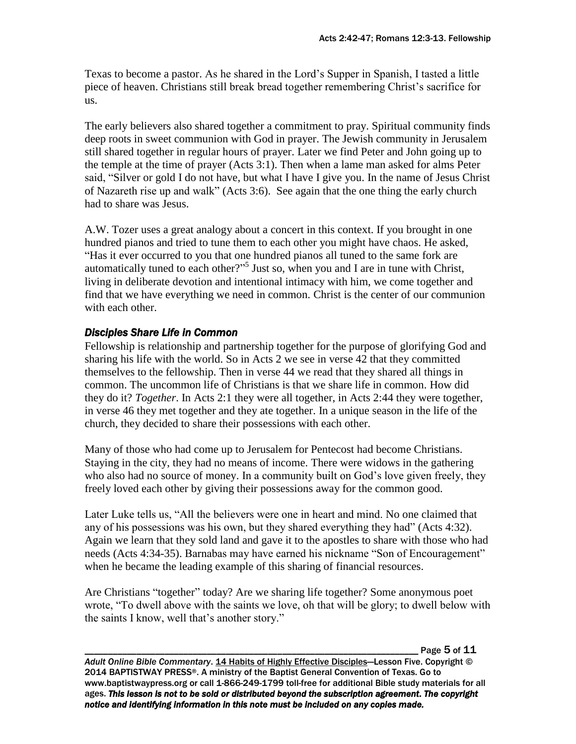Texas to become a pastor. As he shared in the Lord's Supper in Spanish, I tasted a little piece of heaven. Christians still break bread together remembering Christ's sacrifice for us.

The early believers also shared together a commitment to pray. Spiritual community finds deep roots in sweet communion with God in prayer. The Jewish community in Jerusalem still shared together in regular hours of prayer. Later we find Peter and John going up to the temple at the time of prayer (Acts 3:1). Then when a lame man asked for alms Peter said, "Silver or gold I do not have, but what I have I give you. In the name of Jesus Christ of Nazareth rise up and walk" (Acts 3:6). See again that the one thing the early church had to share was Jesus.

A.W. Tozer uses a great analogy about a concert in this context. If you brought in one hundred pianos and tried to tune them to each other you might have chaos. He asked, "Has it ever occurred to you that one hundred pianos all tuned to the same fork are automatically tuned to each other?" 5 Just so, when you and I are in tune with Christ, living in deliberate devotion and intentional intimacy with him, we come together and find that we have everything we need in common. Christ is the center of our communion with each other.

#### *Disciples Share Life in Common*

Fellowship is relationship and partnership together for the purpose of glorifying God and sharing his life with the world. So in Acts 2 we see in verse 42 that they committed themselves to the fellowship. Then in verse 44 we read that they shared all things in common. The uncommon life of Christians is that we share life in common. How did they do it? *Together*. In Acts 2:1 they were all together, in Acts 2:44 they were together, in verse 46 they met together and they ate together. In a unique season in the life of the church, they decided to share their possessions with each other.

Many of those who had come up to Jerusalem for Pentecost had become Christians. Staying in the city, they had no means of income. There were widows in the gathering who also had no source of money. In a community built on God's love given freely, they freely loved each other by giving their possessions away for the common good.

Later Luke tells us, "All the believers were one in heart and mind. No one claimed that any of his possessions was his own, but they shared everything they had" (Acts 4:32). Again we learn that they sold land and gave it to the apostles to share with those who had needs (Acts 4:34-35). Barnabas may have earned his nickname "Son of Encouragement" when he became the leading example of this sharing of financial resources.

Are Christians "together" today? Are we sharing life together? Some anonymous poet wrote, "To dwell above with the saints we love, oh that will be glory; to dwell below with the saints I know, well that's another story."

Page 5 of 11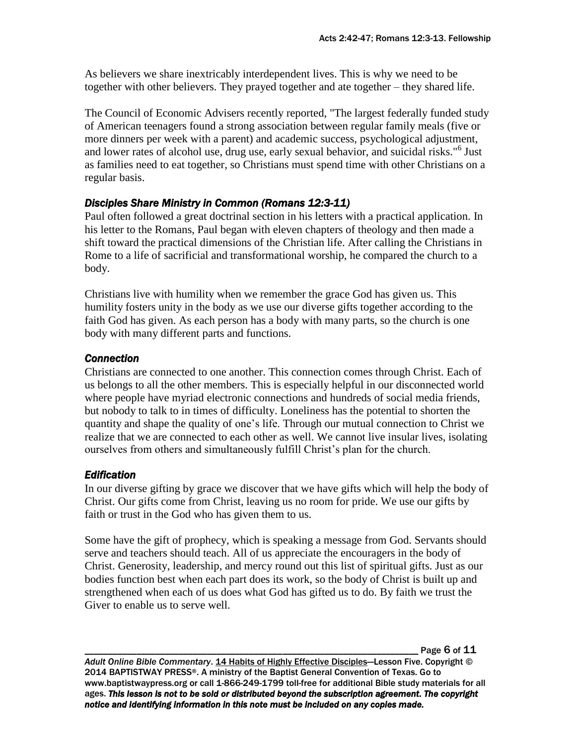As believers we share inextricably interdependent lives. This is why we need to be together with other believers. They prayed together and ate together – they shared life.

The Council of Economic Advisers recently reported, "The largest federally funded study of American teenagers found a strong association between regular family meals (five or more dinners per week with a parent) and academic success, psychological adjustment, and lower rates of alcohol use, drug use, early sexual behavior, and suicidal risks."<sup>6</sup> Just as families need to eat together, so Christians must spend time with other Christians on a regular basis.

### *Disciples Share Ministry in Common (Romans 12:3-11)*

Paul often followed a great doctrinal section in his letters with a practical application. In his letter to the Romans, Paul began with eleven chapters of theology and then made a shift toward the practical dimensions of the Christian life. After calling the Christians in Rome to a life of sacrificial and transformational worship, he compared the church to a body.

Christians live with humility when we remember the grace God has given us. This humility fosters unity in the body as we use our diverse gifts together according to the faith God has given. As each person has a body with many parts, so the church is one body with many different parts and functions.

#### *Connection*

Christians are connected to one another. This connection comes through Christ. Each of us belongs to all the other members. This is especially helpful in our disconnected world where people have myriad electronic connections and hundreds of social media friends, but nobody to talk to in times of difficulty. Loneliness has the potential to shorten the quantity and shape the quality of one's life. Through our mutual connection to Christ we realize that we are connected to each other as well. We cannot live insular lives, isolating ourselves from others and simultaneously fulfill Christ's plan for the church.

### *Edification*

In our diverse gifting by grace we discover that we have gifts which will help the body of Christ. Our gifts come from Christ, leaving us no room for pride. We use our gifts by faith or trust in the God who has given them to us.

Some have the gift of prophecy, which is speaking a message from God. Servants should serve and teachers should teach. All of us appreciate the encouragers in the body of Christ. Generosity, leadership, and mercy round out this list of spiritual gifts. Just as our bodies function best when each part does its work, so the body of Christ is built up and strengthened when each of us does what God has gifted us to do. By faith we trust the Giver to enable us to serve well.

Page 6 of 11

Adult Online Bible Commentary. 14 Habits of Highly Effective Disciples-Lesson Five. Copyright © 2014 BAPTISTWAY PRESS®. A ministry of the Baptist General Convention of Texas. Go to www.baptistwaypress.org or call 1-866-249-1799 toll-free for additional Bible study materials for all ages. *This lesson is not to be sold or distributed beyond the subscription agreement. The copyright notice and identifying information in this note must be included on any copies made.*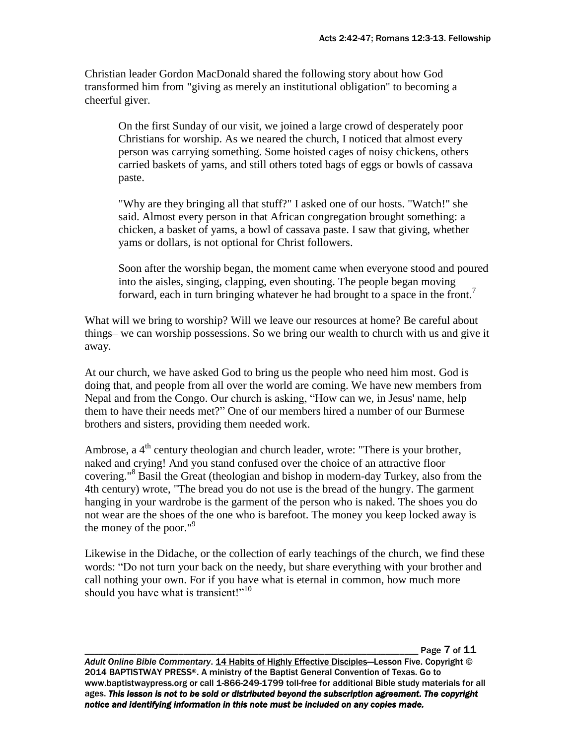Christian leader Gordon MacDonald shared the following story about how God transformed him from "giving as merely an institutional obligation" to becoming a cheerful giver.

On the first Sunday of our visit, we joined a large crowd of desperately poor Christians for worship. As we neared the church, I noticed that almost every person was carrying something. Some hoisted cages of noisy chickens, others carried baskets of yams, and still others toted bags of eggs or bowls of cassava paste.

"Why are they bringing all that stuff?" I asked one of our hosts. "Watch!" she said. Almost every person in that African congregation brought something: a chicken, a basket of yams, a bowl of cassava paste. I saw that giving, whether yams or dollars, is not optional for Christ followers.

Soon after the worship began, the moment came when everyone stood and poured into the aisles, singing, clapping, even shouting. The people began moving forward, each in turn bringing whatever he had brought to a space in the front.<sup>7</sup>

What will we bring to worship? Will we leave our resources at home? Be careful about things– we can worship possessions. So we bring our wealth to church with us and give it away.

At our church, we have asked God to bring us the people who need him most. God is doing that, and people from all over the world are coming. We have new members from Nepal and from the Congo. Our church is asking, "How can we, in Jesus' name, help them to have their needs met?" One of our members hired a number of our Burmese brothers and sisters, providing them needed work.

Ambrose, a  $4<sup>th</sup>$  century theologian and church leader, wrote: "There is your brother, naked and crying! And you stand confused over the choice of an attractive floor covering."<sup>8</sup> Basil the Great (theologian and bishop in modern-day Turkey, also from the 4th century) wrote, "The bread you do not use is the bread of the hungry. The garment hanging in your wardrobe is the garment of the person who is naked. The shoes you do not wear are the shoes of the one who is barefoot. The money you keep locked away is the money of the poor." $9$ 

Likewise in the Didache, or the collection of early teachings of the church, we find these words: "Do not turn your back on the needy, but share everything with your brother and call nothing your own. For if you have what is eternal in common, how much more should you have what is transient!"<sup>10</sup>

Page 7 of 11

*Adult Online Bible Commentary*. 14 Habits of Highly Effective Disciples—Lesson Five. Copyright © 2014 BAPTISTWAY PRESS®. A ministry of the Baptist General Convention of Texas. Go to www.baptistwaypress.org or call 1-866-249-1799 toll-free for additional Bible study materials for all ages. *This lesson is not to be sold or distributed beyond the subscription agreement. The copyright notice and identifying information in this note must be included on any copies made.*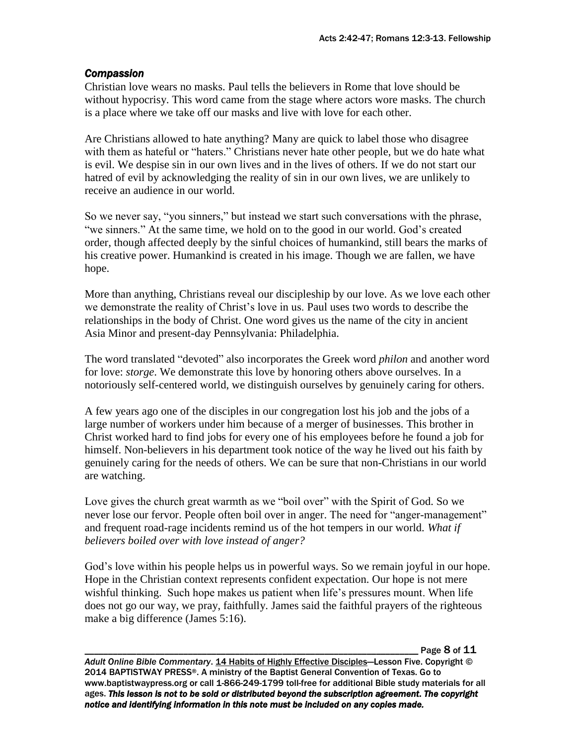#### *Compassion*

Christian love wears no masks. Paul tells the believers in Rome that love should be without hypocrisy. This word came from the stage where actors wore masks. The church is a place where we take off our masks and live with love for each other.

Are Christians allowed to hate anything? Many are quick to label those who disagree with them as hateful or "haters." Christians never hate other people, but we do hate what is evil. We despise sin in our own lives and in the lives of others. If we do not start our hatred of evil by acknowledging the reality of sin in our own lives, we are unlikely to receive an audience in our world.

So we never say, "you sinners," but instead we start such conversations with the phrase, "we sinners." At the same time, we hold on to the good in our world. God's created order, though affected deeply by the sinful choices of humankind, still bears the marks of his creative power. Humankind is created in his image. Though we are fallen, we have hope.

More than anything, Christians reveal our discipleship by our love. As we love each other we demonstrate the reality of Christ's love in us. Paul uses two words to describe the relationships in the body of Christ. One word gives us the name of the city in ancient Asia Minor and present-day Pennsylvania: Philadelphia.

The word translated "devoted" also incorporates the Greek word *philon* and another word for love: *storge*. We demonstrate this love by honoring others above ourselves. In a notoriously self-centered world, we distinguish ourselves by genuinely caring for others.

A few years ago one of the disciples in our congregation lost his job and the jobs of a large number of workers under him because of a merger of businesses. This brother in Christ worked hard to find jobs for every one of his employees before he found a job for himself. Non-believers in his department took notice of the way he lived out his faith by genuinely caring for the needs of others. We can be sure that non-Christians in our world are watching.

Love gives the church great warmth as we "boil over" with the Spirit of God. So we never lose our fervor. People often boil over in anger. The need for "anger-management" and frequent road-rage incidents remind us of the hot tempers in our world. *What if believers boiled over with love instead of anger?*

God's love within his people helps us in powerful ways. So we remain joyful in our hope. Hope in the Christian context represents confident expectation. Our hope is not mere wishful thinking. Such hope makes us patient when life's pressures mount. When life does not go our way, we pray, faithfully. James said the faithful prayers of the righteous make a big difference (James 5:16).

Page 8 of 11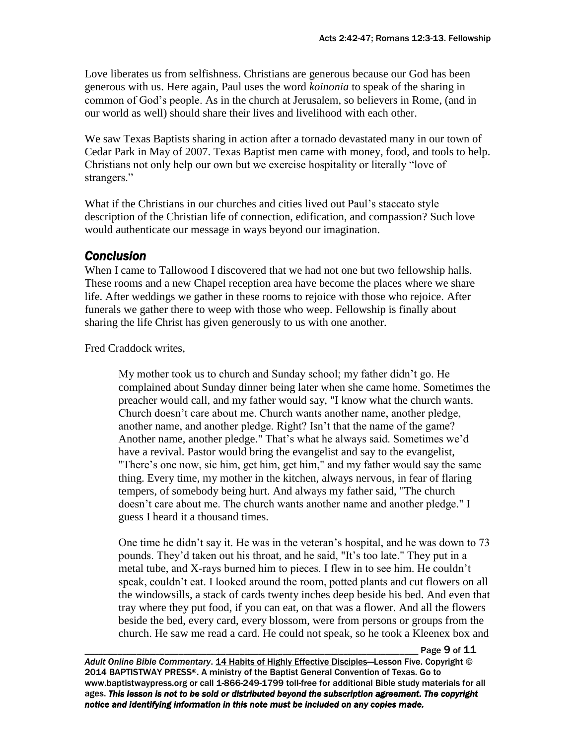Love liberates us from selfishness. Christians are generous because our God has been generous with us. Here again, Paul uses the word *koinonia* to speak of the sharing in common of God's people. As in the church at Jerusalem, so believers in Rome, (and in our world as well) should share their lives and livelihood with each other.

We saw Texas Baptists sharing in action after a tornado devastated many in our town of Cedar Park in May of 2007. Texas Baptist men came with money, food, and tools to help. Christians not only help our own but we exercise hospitality or literally "love of strangers."

What if the Christians in our churches and cities lived out Paul's staccato style description of the Christian life of connection, edification, and compassion? Such love would authenticate our message in ways beyond our imagination.

## *Conclusion*

When I came to Tallowood I discovered that we had not one but two fellowship halls. These rooms and a new Chapel reception area have become the places where we share life. After weddings we gather in these rooms to rejoice with those who rejoice. After funerals we gather there to weep with those who weep. Fellowship is finally about sharing the life Christ has given generously to us with one another.

Fred Craddock writes,

My mother took us to church and Sunday school; my father didn't go. He complained about Sunday dinner being later when she came home. Sometimes the preacher would call, and my father would say, "I know what the church wants. Church doesn't care about me. Church wants another name, another pledge, another name, and another pledge. Right? Isn't that the name of the game? Another name, another pledge." That's what he always said. Sometimes we'd have a revival. Pastor would bring the evangelist and say to the evangelist, "There's one now, sic him, get him, get him," and my father would say the same thing. Every time, my mother in the kitchen, always nervous, in fear of flaring tempers, of somebody being hurt. And always my father said, "The church doesn't care about me. The church wants another name and another pledge." I guess I heard it a thousand times.

One time he didn't say it. He was in the veteran's hospital, and he was down to 73 pounds. They'd taken out his throat, and he said, "It's too late." They put in a metal tube, and X-rays burned him to pieces. I flew in to see him. He couldn't speak, couldn't eat. I looked around the room, potted plants and cut flowers on all the windowsills, a stack of cards twenty inches deep beside his bed. And even that tray where they put food, if you can eat, on that was a flower. And all the flowers beside the bed, every card, every blossom, were from persons or groups from the church. He saw me read a card. He could not speak, so he took a Kleenex box and

Page 9 of 11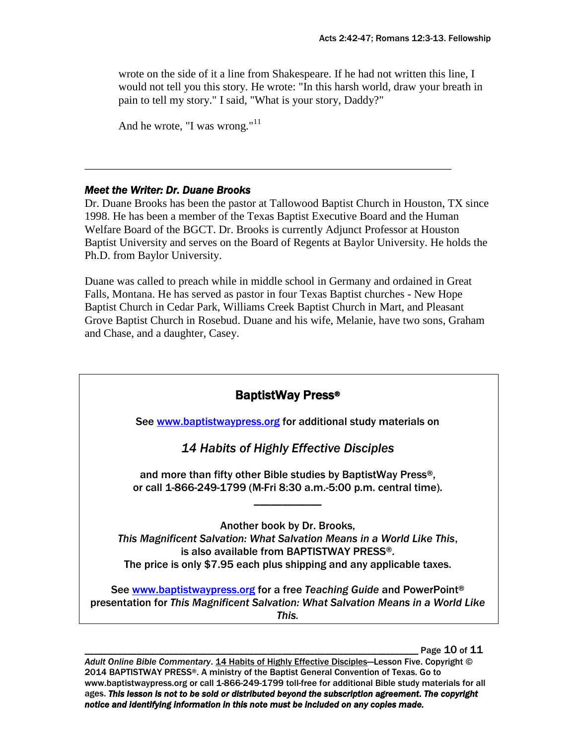wrote on the side of it a line from Shakespeare. If he had not written this line, I would not tell you this story. He wrote: "In this harsh world, draw your breath in pain to tell my story." I said, "What is your story, Daddy?"

```
And he wrote, "I was wrong."11
```
#### *Meet the Writer: Dr. Duane Brooks*

Dr. Duane Brooks has been the pastor at Tallowood Baptist Church in Houston, TX since 1998. He has been a member of the Texas Baptist Executive Board and the Human Welfare Board of the BGCT. Dr. Brooks is currently Adjunct Professor at Houston Baptist University and serves on the Board of Regents at Baylor University. He holds the Ph.D. from Baylor University.

\_\_\_\_\_\_\_\_\_\_\_\_\_\_\_\_\_\_\_\_\_\_\_\_\_\_\_\_\_\_\_\_\_\_\_\_\_\_\_\_\_\_\_\_\_\_\_\_\_\_\_\_\_\_\_\_\_\_\_\_\_\_\_\_\_

Duane was called to preach while in middle school in Germany and ordained in Great Falls, Montana. He has served as pastor in four Texas Baptist churches - New Hope Baptist Church in Cedar Park, Williams Creek Baptist Church in Mart, and Pleasant Grove Baptist Church in Rosebud. Duane and his wife, Melanie, have two sons, Graham and Chase, and a daughter, Casey.



Page 10 of 11